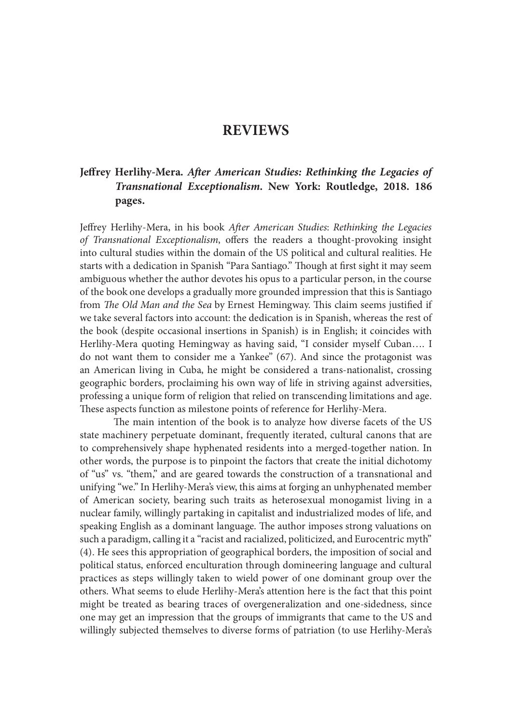# REVIEWS

# Jeffrey Herlihy-Mera. After American Studies: Rethinking the Legacies of Transnational Exceptionalism. New York: Routledge, 2018. 186 pages.

Jeffrey Herlihy-Mera, in his book After American Studies: Rethinking the Legacies of Transnational Exceptionalism, offers the readers a thought-provoking insight into cultural studies within the domain of the US political and cultural realities. He starts with a dedication in Spanish "Para Santiago." Though at first sight it may seem ambiguous whether the author devotes his opus to a particular person, in the course of the book one develops a gradually more grounded impression that this is Santiago from The Old Man and the Sea by Ernest Hemingway. This claim seems justified if we take several factors into account: the dedication is in Spanish, whereas the rest of the book (despite occasional insertions in Spanish) is in English; it coincides with Herlihy-Mera quoting Hemingway as having said, "I consider myself Cuban…. I do not want them to consider me a Yankee" (67). And since the protagonist was an American living in Cuba, he might be considered a trans-nationalist, crossing geographic borders, proclaiming his own way of life in striving against adversities, professing a unique form of religion that relied on transcending limitations and age. These aspects function as milestone points of reference for Herlihy-Mera.

The main intention of the book is to analyze how diverse facets of the US state machinery perpetuate dominant, frequently iterated, cultural canons that are to comprehensively shape hyphenated residents into a merged-together nation. In other words, the purpose is to pinpoint the factors that create the initial dichotomy of "us" vs. "them," and are geared towards the construction of a transnational and unifying "we." In Herlihy-Mera's view, this aims at forging an unhyphenated member of American society, bearing such traits as heterosexual monogamist living in a nuclear family, willingly partaking in capitalist and industrialized modes of life, and speaking English as a dominant language. The author imposes strong valuations on such a paradigm, calling it a "racist and racialized, politicized, and Eurocentric myth" (4). He sees this appropriation of geographical borders, the imposition of social and political status, enforced enculturation through domineering language and cultural practices as steps willingly taken to wield power of one dominant group over the others. What seems to elude Herlihy-Mera's attention here is the fact that this point might be treated as bearing traces of overgeneralization and one-sidedness, since one may get an impression that the groups of immigrants that came to the US and willingly subjected themselves to diverse forms of patriation (to use Herlihy-Mera's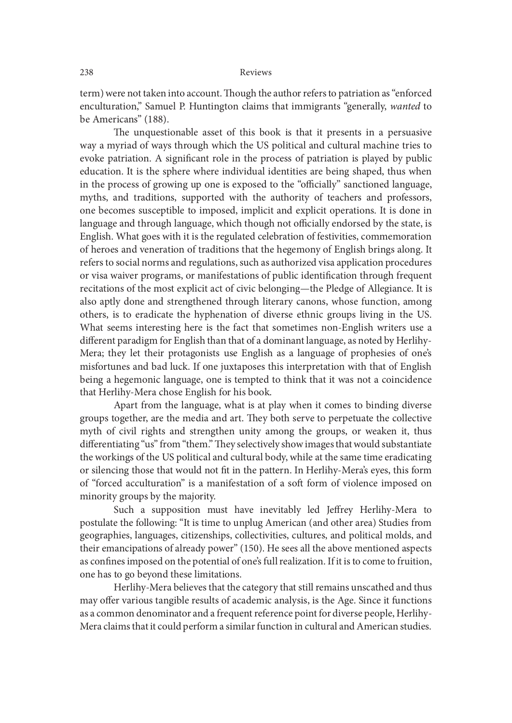term) were not taken into account. Though the author refers to patriation as "enforced enculturation," Samuel P. Huntington claims that immigrants "generally, wanted to be Americans" (188).

The unquestionable asset of this book is that it presents in a persuasive way a myriad of ways through which the US political and cultural machine tries to evoke patriation. A significant role in the process of patriation is played by public education. It is the sphere where individual identities are being shaped, thus when in the process of growing up one is exposed to the "officially" sanctioned language, myths, and traditions, supported with the authority of teachers and professors, one becomes susceptible to imposed, implicit and explicit operations. It is done in language and through language, which though not officially endorsed by the state, is English. What goes with it is the regulated celebration of festivities, commemoration of heroes and veneration of traditions that the hegemony of English brings along. It refers to social norms and regulations, such as authorized visa application procedures or visa waiver programs, or manifestations of public identification through frequent recitations of the most explicit act of civic belonging—the Pledge of Allegiance. It is also aptly done and strengthened through literary canons, whose function, among others, is to eradicate the hyphenation of diverse ethnic groups living in the US. What seems interesting here is the fact that sometimes non-English writers use a different paradigm for English than that of a dominant language, as noted by Herlihy-Mera; they let their protagonists use English as a language of prophesies of one's misfortunes and bad luck. If one juxtaposes this interpretation with that of English being a hegemonic language, one is tempted to think that it was not a coincidence that Herlihy-Mera chose English for his book.

Apart from the language, what is at play when it comes to binding diverse groups together, are the media and art. They both serve to perpetuate the collective myth of civil rights and strengthen unity among the groups, or weaken it, thus differentiating "us" from "them." They selectively show images that would substantiate the workings of the US political and cultural body, while at the same time eradicating or silencing those that would not fit in the pattern. In Herlihy-Mera's eyes, this form of "forced acculturation" is a manifestation of a sot form of violence imposed on minority groups by the majority.

Such a supposition must have inevitably led Jeffrey Herlihy-Mera to postulate the following: "It is time to unplug American (and other area) Studies from geographies, languages, citizenships, collectivities, cultures, and political molds, and their emancipations of already power" (150). He sees all the above mentioned aspects as confines imposed on the potential of one's full realization. If it is to come to fruition, one has to go beyond these limitations.

Herlihy-Mera believes that the category that still remains unscathed and thus may offer various tangible results of academic analysis, is the Age. Since it functions as a common denominator and a frequent reference point for diverse people, Herlihy-Mera claims that it could perform a similar function in cultural and American studies.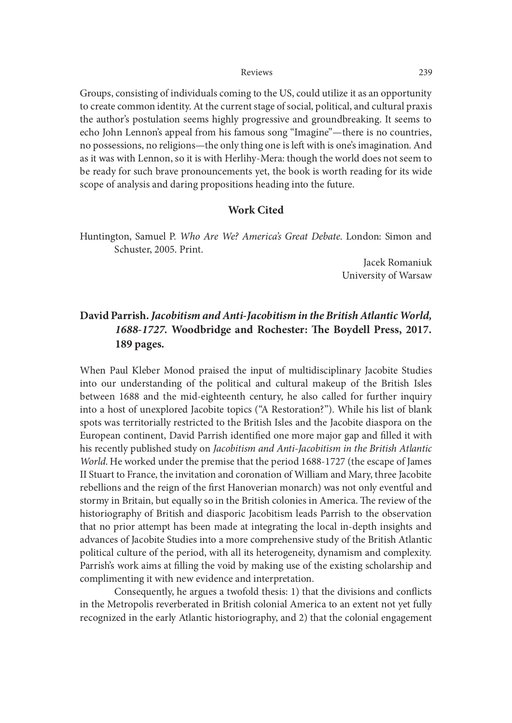Groups, consisting of individuals coming to the US, could utilize it as an opportunity to create common identity. At the current stage of social, political, and cultural praxis the author's postulation seems highly progressive and groundbreaking. It seems to echo John Lennon's appeal from his famous song "Imagine"—there is no countries, no possessions, no religions—the only thing one is left with is one's imagination. And as it was with Lennon, so it is with Herlihy-Mera: though the world does not seem to be ready for such brave pronouncements yet, the book is worth reading for its wide scope of analysis and daring propositions heading into the future.

## Work Cited

Huntington, Samuel P. Who Are We? America's Great Debate. London: Simon and Schuster, 2005. Print.

> Jacek Romaniuk University of Warsaw

# David Parrish. Jacobitism and Anti-Jacobitism in the British Atlantic World, 1688-1727. Woodbridge and Rochester: The Boydell Press, 2017. 189 pages.

When Paul Kleber Monod praised the input of multidisciplinary Jacobite Studies into our understanding of the political and cultural makeup of the British Isles between 1688 and the mid-eighteenth century, he also called for further inquiry into a host of unexplored Jacobite topics ("A Restoration?"). While his list of blank spots was territorially restricted to the British Isles and the Jacobite diaspora on the European continent, David Parrish identified one more major gap and filled it with his recently published study on Jacobitism and Anti-Jacobitism in the British Atlantic World. He worked under the premise that the period 1688-1727 (the escape of James II Stuart to France, the invitation and coronation of William and Mary, three Jacobite rebellions and the reign of the first Hanoverian monarch) was not only eventful and stormy in Britain, but equally so in the British colonies in America. The review of the historiography of British and diasporic Jacobitism leads Parrish to the observation that no prior attempt has been made at integrating the local in-depth insights and advances of Jacobite Studies into a more comprehensive study of the British Atlantic political culture of the period, with all its heterogeneity, dynamism and complexity. Parrish's work aims at filling the void by making use of the existing scholarship and complimenting it with new evidence and interpretation.

Consequently, he argues a twofold thesis: 1) that the divisions and conflicts in the Metropolis reverberated in British colonial America to an extent not yet fully recognized in the early Atlantic historiography, and 2) that the colonial engagement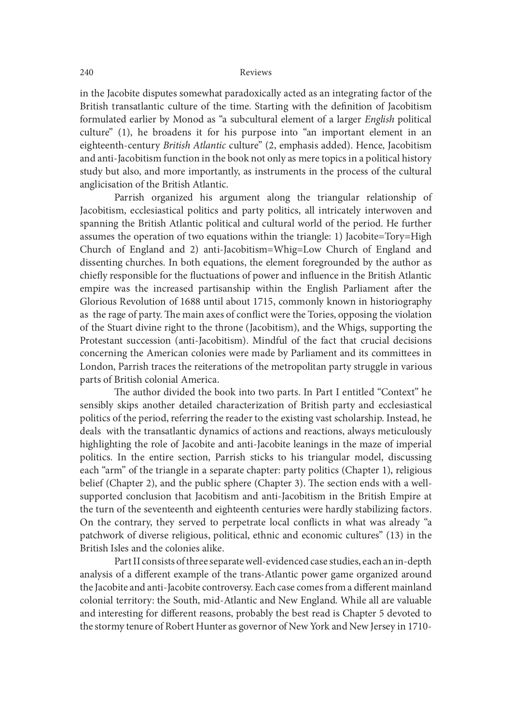in the Jacobite disputes somewhat paradoxically acted as an integrating factor of the British transatlantic culture of the time. Starting with the definition of Jacobitism formulated earlier by Monod as "a subcultural element of a larger English political culture" (1), he broadens it for his purpose into "an important element in an eighteenth-century British Atlantic culture" (2, emphasis added). Hence, Jacobitism and anti-Jacobitism function in the book not only as mere topics in a political history study but also, and more importantly, as instruments in the process of the cultural anglicisation of the British Atlantic.

 Parrish organized his argument along the triangular relationship of Jacobitism, ecclesiastical politics and party politics, all intricately interwoven and spanning the British Atlantic political and cultural world of the period. He further assumes the operation of two equations within the triangle: 1) Jacobite=Tory=High Church of England and 2) anti-Jacobitism=Whig=Low Church of England and dissenting churches. In both equations, the element foregrounded by the author as chie{y responsible for the {uctuations of power and in{uence in the British Atlantic empire was the increased partisanship within the English Parliament ater the Glorious Revolution of 1688 until about 1715, commonly known in historiography as the rage of party. The main axes of conflict were the Tories, opposing the violation of the Stuart divine right to the throne (Jacobitism), and the Whigs, supporting the Protestant succession (anti-Jacobitism). Mindful of the fact that crucial decisions concerning the American colonies were made by Parliament and its committees in London, Parrish traces the reiterations of the metropolitan party struggle in various parts of British colonial America.

The author divided the book into two parts. In Part I entitled "Context" he sensibly skips another detailed characterization of British party and ecclesiastical politics of the period, referring the reader to the existing vast scholarship. Instead, he deals with the transatlantic dynamics of actions and reactions, always meticulously highlighting the role of Jacobite and anti-Jacobite leanings in the maze of imperial politics. In the entire section, Parrish sticks to his triangular model, discussing each "arm" of the triangle in a separate chapter: party politics (Chapter 1), religious belief (Chapter 2), and the public sphere (Chapter 3). The section ends with a wellsupported conclusion that Jacobitism and anti-Jacobitism in the British Empire at the turn of the seventeenth and eighteenth centuries were hardly stabilizing factors. On the contrary, they served to perpetrate local conflicts in what was already "a patchwork of diverse religious, political, ethnic and economic cultures" (13) in the British Isles and the colonies alike.

 Part II consists of three separate well-evidenced case studies, each an in-depth analysis of a different example of the trans-Atlantic power game organized around the Jacobite and anti-Jacobite controversy. Each case comes from a different mainland colonial territory: the South, mid-Atlantic and New England. While all are valuable and interesting for different reasons, probably the best read is Chapter 5 devoted to the stormy tenure of Robert Hunter as governor of New York and New Jersey in 1710-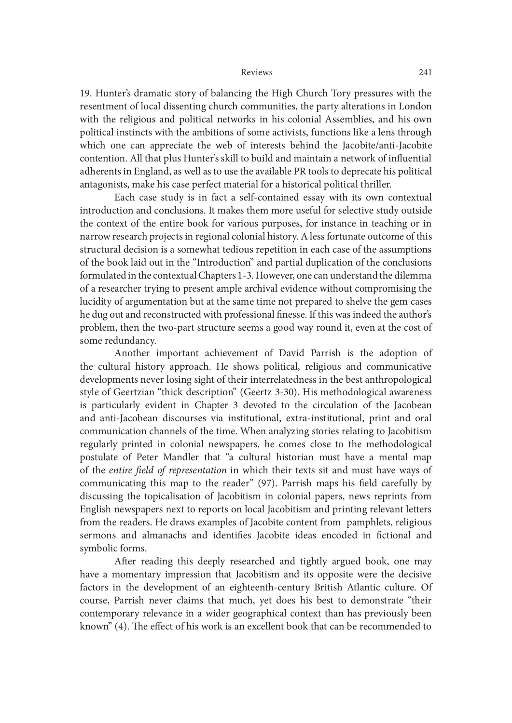19. Hunter's dramatic story of balancing the High Church Tory pressures with the resentment of local dissenting church communities, the party alterations in London with the religious and political networks in his colonial Assemblies, and his own political instincts with the ambitions of some activists, functions like a lens through which one can appreciate the web of interests behind the Jacobite/anti-Jacobite contention. All that plus Hunter's skill to build and maintain a network of in{uential adherents in England, as well as to use the available PR tools to deprecate his political antagonists, make his case perfect material for a historical political thriller.

 Each case study is in fact a self-contained essay with its own contextual introduction and conclusions. It makes them more useful for selective study outside the context of the entire book for various purposes, for instance in teaching or in narrow research projects in regional colonial history. A less fortunate outcome of this structural decision is a somewhat tedious repetition in each case of the assumptions of the book laid out in the "Introduction" and partial duplication of the conclusions formulated in the contextual Chapters 1-3. However, one can understand the dilemma of a researcher trying to present ample archival evidence without compromising the lucidity of argumentation but at the same time not prepared to shelve the gem cases he dug out and reconstructed with professional finesse. If this was indeed the author's problem, then the two-part structure seems a good way round it, even at the cost of some redundancy.

 Another important achievement of David Parrish is the adoption of the cultural history approach. He shows political, religious and communicative developments never losing sight of their interrelatedness in the best anthropological style of Geertzian "thick description" (Geertz 3-30). His methodological awareness is particularly evident in Chapter 3 devoted to the circulation of the Jacobean and anti-Jacobean discourses via institutional, extra-institutional, print and oral communication channels of the time. When analyzing stories relating to Jacobitism regularly printed in colonial newspapers, he comes close to the methodological postulate of Peter Mandler that "a cultural historian must have a mental map of the entire field of representation in which their texts sit and must have ways of communicating this map to the reader" (97). Parrish maps his field carefully by discussing the topicalisation of Jacobitism in colonial papers, news reprints from English newspapers next to reports on local Jacobitism and printing relevant letters from the readers. He draws examples of Jacobite content from pamphlets, religious sermons and almanachs and identifies Jacobite ideas encoded in fictional and symbolic forms.

 Ater reading this deeply researched and tightly argued book, one may have a momentary impression that Jacobitism and its opposite were the decisive factors in the development of an eighteenth-century British Atlantic culture. Of course, Parrish never claims that much, yet does his best to demonstrate "their contemporary relevance in a wider geographical context than has previously been known" (4). The effect of his work is an excellent book that can be recommended to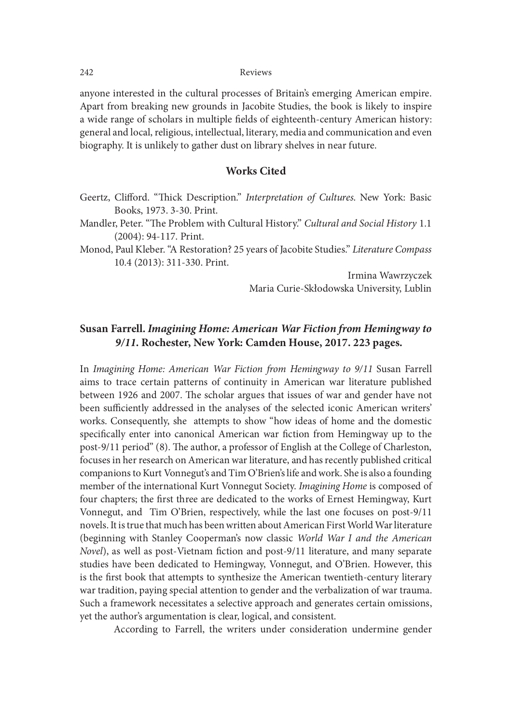anyone interested in the cultural processes of Britain's emerging American empire. Apart from breaking new grounds in Jacobite Studies, the book is likely to inspire a wide range of scholars in multiple fields of eighteenth-century American history: general and local, religious, intellectual, literary, media and communication and even biography. It is unlikely to gather dust on library shelves in near future.

## Works Cited

Geertz, Clifford. "Thick Description." Interpretation of Cultures. New York: Basic Books, 1973. 3-30. Print.

Mandler, Peter. "The Problem with Cultural History." Cultural and Social History 1.1 (2004): 94-117. Print.

Monod, Paul Kleber. "A Restoration? 25 years of Jacobite Studies." Literature Compass 10.4 (2013): 311-330. Print.

> Irmina Wawrzyczek Maria Curie-Skłodowska University, Lublin

## Susan Farrell. Imagining Home: American War Fiction from Hemingway to 9/11. Rochester, New York: Camden House, 2017. 223 pages.

In Imagining Home: American War Fiction from Hemingway to 9/11 Susan Farrell aims to trace certain patterns of continuity in American war literature published between 1926 and 2007. The scholar argues that issues of war and gender have not been sufficiently addressed in the analyses of the selected iconic American writers' works. Consequently, she attempts to show "how ideas of home and the domestic specifically enter into canonical American war fiction from Hemingway up to the post-9/11 period" (8). The author, a professor of English at the College of Charleston, focuses in her research on American war literature, and has recently published critical companions to Kurt Vonnegut's and Tim O'Brien's life and work. She is also a founding member of the international Kurt Vonnegut Society. Imagining Home is composed of four chapters; the first three are dedicated to the works of Ernest Hemingway, Kurt Vonnegut, and Tim O'Brien, respectively, while the last one focuses on post-9/11 novels. It is true that much has been written about American First World War literature (beginning with Stanley Cooperman's now classic World War I and the American Novel), as well as post-Vietnam fiction and post-9/11 literature, and many separate studies have been dedicated to Hemingway, Vonnegut, and O'Brien. However, this is the first book that attempts to synthesize the American twentieth-century literary war tradition, paying special attention to gender and the verbalization of war trauma. Such a framework necessitates a selective approach and generates certain omissions, yet the author's argumentation is clear, logical, and consistent.

According to Farrell, the writers under consideration undermine gender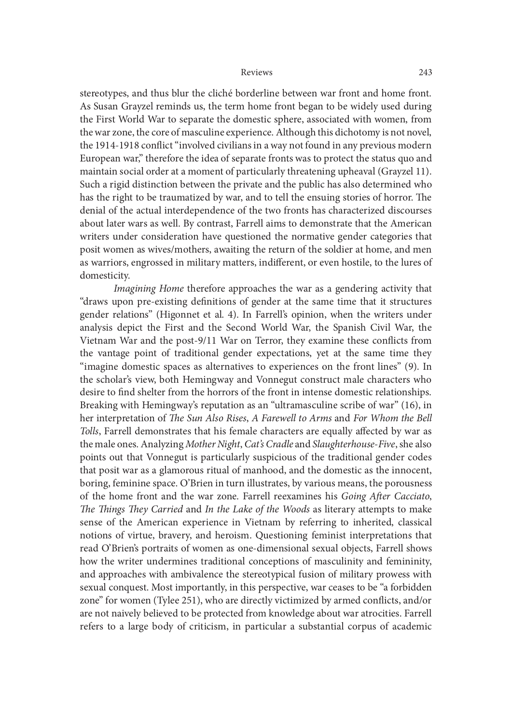stereotypes, and thus blur the cliché borderline between war front and home front. As Susan Grayzel reminds us, the term home front began to be widely used during the First World War to separate the domestic sphere, associated with women, from the war zone, the core of masculine experience. Although this dichotomy is not novel, the 1914-1918 conflict "involved civilians in a way not found in any previous modern European war," therefore the idea of separate fronts was to protect the status quo and maintain social order at a moment of particularly threatening upheaval (Grayzel 11). Such a rigid distinction between the private and the public has also determined who has the right to be traumatized by war, and to tell the ensuing stories of horror. The denial of the actual interdependence of the two fronts has characterized discourses about later wars as well. By contrast, Farrell aims to demonstrate that the American writers under consideration have questioned the normative gender categories that posit women as wives/mothers, awaiting the return of the soldier at home, and men as warriors, engrossed in military matters, indifferent, or even hostile, to the lures of domesticity.

Imagining Home therefore approaches the war as a gendering activity that "draws upon pre-existing definitions of gender at the same time that it structures gender relations" (Higonnet et al. 4). In Farrell's opinion, when the writers under analysis depict the First and the Second World War, the Spanish Civil War, the Vietnam War and the post-9/11 War on Terror, they examine these conflicts from the vantage point of traditional gender expectations, yet at the same time they "imagine domestic spaces as alternatives to experiences on the front lines" (9). In the scholar's view, both Hemingway and Vonnegut construct male characters who desire to find shelter from the horrors of the front in intense domestic relationships. Breaking with Hemingway's reputation as an "ultramasculine scribe of war" (16), in her interpretation of The Sun Also Rises, A Farewell to Arms and For Whom the Bell Tolls, Farrell demonstrates that his female characters are equally affected by war as the male ones. Analyzing Mother Night, Cat's Cradle and Slaughterhouse-Five, she also points out that Vonnegut is particularly suspicious of the traditional gender codes that posit war as a glamorous ritual of manhood, and the domestic as the innocent, boring, feminine space. O'Brien in turn illustrates, by various means, the porousness of the home front and the war zone. Farrell reexamines his Going After Cacciato, The Things They Carried and In the Lake of the Woods as literary attempts to make sense of the American experience in Vietnam by referring to inherited, classical notions of virtue, bravery, and heroism. Questioning feminist interpretations that read O'Brien's portraits of women as one-dimensional sexual objects, Farrell shows how the writer undermines traditional conceptions of masculinity and femininity, and approaches with ambivalence the stereotypical fusion of military prowess with sexual conquest. Most importantly, in this perspective, war ceases to be "a forbidden zone" for women (Tylee 251), who are directly victimized by armed conflicts, and/or are not naively believed to be protected from knowledge about war atrocities. Farrell refers to a large body of criticism, in particular a substantial corpus of academic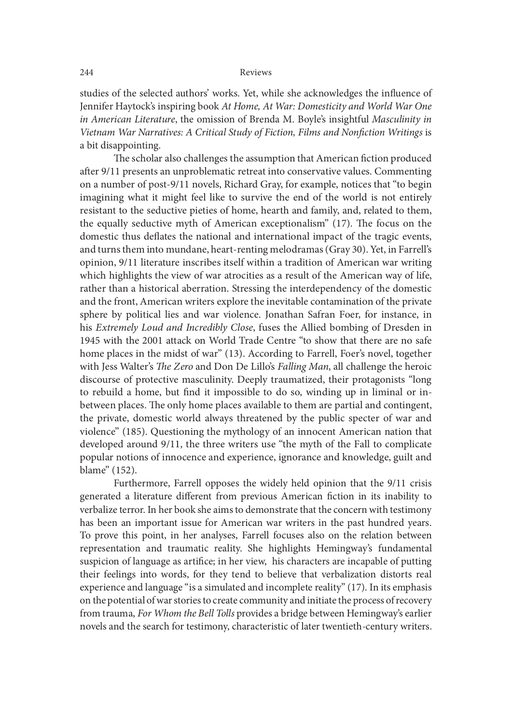studies of the selected authors' works. Yet, while she acknowledges the influence of Jennifer Haytock's inspiring book At Home, At War: Domesticity and World War One in American Literature, the omission of Brenda M. Boyle's insightful Masculinity in Vietnam War Narratives: A Critical Study of Fiction, Films and Nonfiction Writings is a bit disappointing.

The scholar also challenges the assumption that American fiction produced ater 9/11 presents an unproblematic retreat into conservative values. Commenting on a number of post-9/11 novels, Richard Gray, for example, notices that "to begin imagining what it might feel like to survive the end of the world is not entirely resistant to the seductive pieties of home, hearth and family, and, related to them, the equally seductive myth of American exceptionalism" (17). The focus on the domestic thus deflates the national and international impact of the tragic events, and turns them into mundane, heart-renting melodramas (Gray 30). Yet, in Farrell's opinion, 9/11 literature inscribes itself within a tradition of American war writing which highlights the view of war atrocities as a result of the American way of life, rather than a historical aberration. Stressing the interdependency of the domestic and the front, American writers explore the inevitable contamination of the private sphere by political lies and war violence. Jonathan Safran Foer, for instance, in his Extremely Loud and Incredibly Close, fuses the Allied bombing of Dresden in 1945 with the 2001 attack on World Trade Centre "to show that there are no safe home places in the midst of war" (13). According to Farrell, Foer's novel, together with Jess Walter's The Zero and Don De Lillo's Falling Man, all challenge the heroic discourse of protective masculinity. Deeply traumatized, their protagonists "long to rebuild a home, but find it impossible to do so, winding up in liminal or inbetween places. The only home places available to them are partial and contingent, the private, domestic world always threatened by the public specter of war and violence" (185). Questioning the mythology of an innocent American nation that developed around 9/11, the three writers use "the myth of the Fall to complicate popular notions of innocence and experience, ignorance and knowledge, guilt and blame" (152).

Furthermore, Farrell opposes the widely held opinion that the 9/11 crisis generated a literature different from previous American fiction in its inability to verbalize terror. In her book she aims to demonstrate that the concern with testimony has been an important issue for American war writers in the past hundred years. To prove this point, in her analyses, Farrell focuses also on the relation between representation and traumatic reality. She highlights Hemingway's fundamental suspicion of language as artifice; in her view, his characters are incapable of putting their feelings into words, for they tend to believe that verbalization distorts real experience and language "is a simulated and incomplete reality" (17). In its emphasis on the potential of war stories to create community and initiate the process of recovery from trauma, For Whom the Bell Tolls provides a bridge between Hemingway's earlier novels and the search for testimony, characteristic of later twentieth-century writers.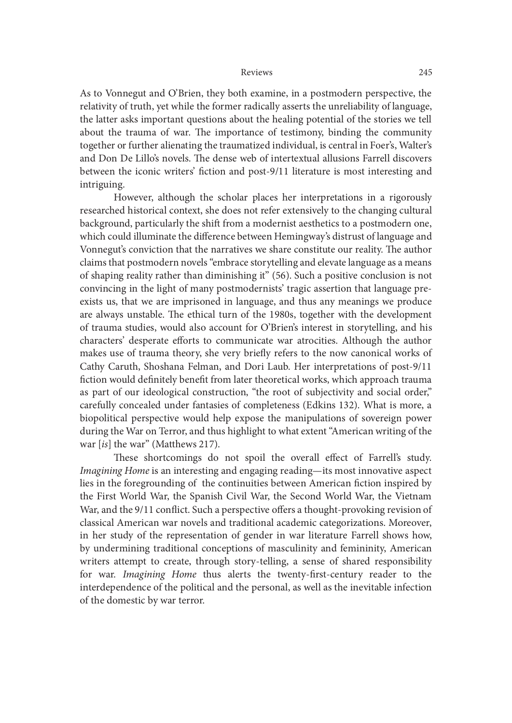As to Vonnegut and O'Brien, they both examine, in a postmodern perspective, the relativity of truth, yet while the former radically asserts the unreliability of language, the latter asks important questions about the healing potential of the stories we tell about the trauma of war. The importance of testimony, binding the community together or further alienating the traumatized individual, is central in Foer's, Walter's and Don De Lillo's novels. The dense web of intertextual allusions Farrell discovers between the iconic writers' fiction and post-9/11 literature is most interesting and intriguing.

However, although the scholar places her interpretations in a rigorously researched historical context, she does not refer extensively to the changing cultural background, particularly the shit from a modernist aesthetics to a postmodern one, which could illuminate the difference between Hemingway's distrust of language and Vonnegut's conviction that the narratives we share constitute our reality. The author claims that postmodern novels "embrace storytelling and elevate language as a means of shaping reality rather than diminishing it" (56). Such a positive conclusion is not convincing in the light of many postmodernists' tragic assertion that language preexists us, that we are imprisoned in language, and thus any meanings we produce are always unstable. The ethical turn of the 1980s, together with the development of trauma studies, would also account for O'Brien's interest in storytelling, and his characters' desperate efforts to communicate war atrocities. Although the author makes use of trauma theory, she very briefly refers to the now canonical works of Cathy Caruth, Shoshana Felman, and Dori Laub. Her interpretations of post-9/11 fiction would definitely benefit from later theoretical works, which approach trauma as part of our ideological construction, "the root of subjectivity and social order," carefully concealed under fantasies of completeness (Edkins 132). What is more, a biopolitical perspective would help expose the manipulations of sovereign power during the War on Terror, and thus highlight to what extent "American writing of the war [is] the war" (Matthews 217).

These shortcomings do not spoil the overall effect of Farrell's study. Imagining Home is an interesting and engaging reading—its most innovative aspect lies in the foregrounding of the continuities between American fiction inspired by the First World War, the Spanish Civil War, the Second World War, the Vietnam War, and the 9/11 conflict. Such a perspective offers a thought-provoking revision of classical American war novels and traditional academic categorizations. Moreover, in her study of the representation of gender in war literature Farrell shows how, by undermining traditional conceptions of masculinity and femininity, American writers attempt to create, through story-telling, a sense of shared responsibility for war. Imagining Home thus alerts the twenty-first-century reader to the interdependence of the political and the personal, as well as the inevitable infection of the domestic by war terror.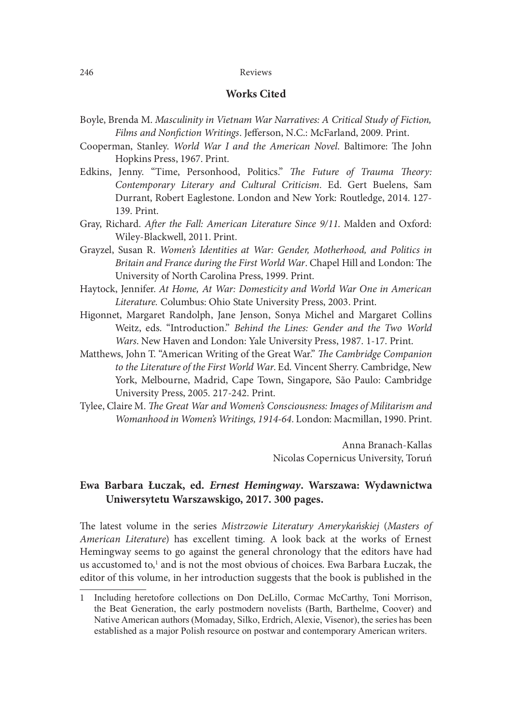## Works Cited

- Boyle, Brenda M. Masculinity in Vietnam War Narratives: A Critical Study of Fiction, Films and Nonfiction Writings. Jefferson, N.C.: McFarland, 2009. Print.
- Cooperman, Stanley. World War I and the American Novel. Baltimore: The John Hopkins Press, 1967. Print.
- Edkins, Jenny. "Time, Personhood, Politics." The Future of Trauma Theory: Contemporary Literary and Cultural Criticism. Ed. Gert Buelens, Sam Durrant, Robert Eaglestone. London and New York: Routledge, 2014. 127- 139. Print.
- Gray, Richard. After the Fall: American Literature Since 9/11. Malden and Oxford: Wiley-Blackwell, 2011. Print.
- Grayzel, Susan R. Women's Identities at War: Gender, Motherhood, and Politics in Britain and France during the First World War. Chapel Hill and London: The University of North Carolina Press, 1999. Print.
- Haytock, Jennifer. At Home, At War: Domesticity and World War One in American Literature. Columbus: Ohio State University Press, 2003. Print.
- Higonnet, Margaret Randolph, Jane Jenson, Sonya Michel and Margaret Collins Weitz, eds. "Introduction." Behind the Lines: Gender and the Two World Wars. New Haven and London: Yale University Press, 1987. 1-17. Print.
- Matthews, John T. "American Writing of the Great War." The Cambridge Companion to the Literature of the First World War. Ed. Vincent Sherry. Cambridge, New York, Melbourne, Madrid, Cape Town, Singapore, São Paulo: Cambridge University Press, 2005. 217-242. Print.
- Tylee, Claire M. The Great War and Women's Consciousness: Images of Militarism and Womanhood in Women's Writings, 1914-64. London: Macmillan, 1990. Print.

Anna Branach-Kallas Nicolas Copernicus University, Toruń

# Ewa Barbara Łuczak, ed. Ernest Hemingway. Warszawa: Wydawnictwa Uniwersytetu Warszawskigo, 2017. 300 pages.

The latest volume in the series Mistrzowie Literatury Amerykańskiej (Masters of American Literature) has excellent timing. A look back at the works of Ernest Hemingway seems to go against the general chronology that the editors have had us accustomed to,<sup>1</sup> and is not the most obvious of choices. Ewa Barbara Łuczak, the editor of this volume, in her introduction suggests that the book is published in the

<sup>1</sup> Including heretofore collections on Don DeLillo, Cormac McCarthy, Toni Morrison, the Beat Generation, the early postmodern novelists (Barth, Barthelme, Coover) and Native American authors(Momaday, Silko, Erdrich, Alexie, Visenor), the series has been established as a major Polish resource on postwar and contemporary American writers.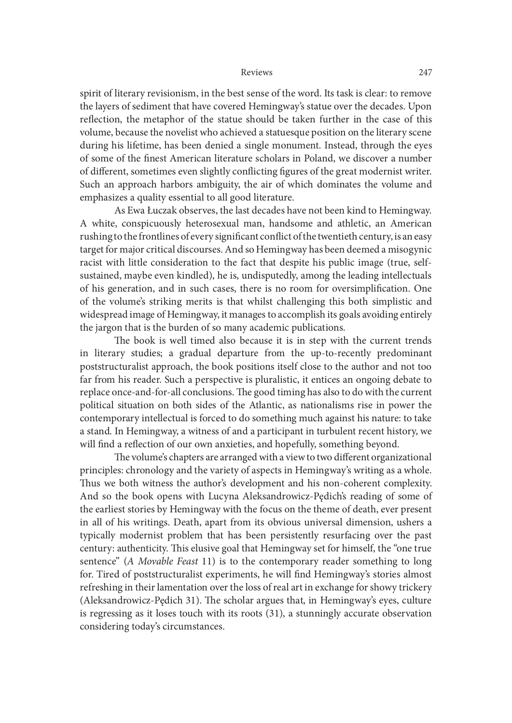spirit of literary revisionism, in the best sense of the word. Its task is clear: to remove the layers of sediment that have covered Hemingway's statue over the decades. Upon reflection, the metaphor of the statue should be taken further in the case of this volume, because the novelist who achieved a statuesque position on the literary scene during his lifetime, has been denied a single monument. Instead, through the eyes of some of the finest American literature scholars in Poland, we discover a number of different, sometimes even slightly conflicting figures of the great modernist writer. Such an approach harbors ambiguity, the air of which dominates the volume and emphasizes a quality essential to all good literature.

 As Ewa Łuczak observes, the last decades have not been kind to Hemingway. A white, conspicuously heterosexual man, handsome and athletic, an American rushing to the frontlines of every significant conflict of the twentieth century, is an easy target for major critical discourses. And so Hemingway has been deemed a misogynic racist with little consideration to the fact that despite his public image (true, selfsustained, maybe even kindled), he is, undisputedly, among the leading intellectuals of his generation, and in such cases, there is no room for oversimplification. One of the volume's striking merits is that whilst challenging this both simplistic and widespread image of Hemingway, it manages to accomplish its goals avoiding entirely the jargon that is the burden of so many academic publications.

The book is well timed also because it is in step with the current trends in literary studies; a gradual departure from the up-to-recently predominant poststructuralist approach, the book positions itself close to the author and not too far from his reader. Such a perspective is pluralistic, it entices an ongoing debate to replace once-and-for-all conclusions. The good timing has also to do with the current political situation on both sides of the Atlantic, as nationalisms rise in power the contemporary intellectual is forced to do something much against his nature: to take a stand. In Hemingway, a witness of and a participant in turbulent recent history, we will find a reflection of our own anxieties, and hopefully, something beyond.

The volume's chapters are arranged with a view to two different organizational principles: chronology and the variety of aspects in Hemingway's writing as a whole. Thus we both witness the author's development and his non-coherent complexity. And so the book opens with Lucyna Aleksandrowicz-Pędich's reading of some of the earliest stories by Hemingway with the focus on the theme of death, ever present in all of his writings. Death, apart from its obvious universal dimension, ushers a typically modernist problem that has been persistently resurfacing over the past century: authenticity. This elusive goal that Hemingway set for himself, the "one true sentence" (A Movable Feast 11) is to the contemporary reader something to long for. Tired of poststructuralist experiments, he will find Hemingway's stories almost refreshing in their lamentation over the loss of real art in exchange for showy trickery (Aleksandrowicz-Pedich 31). The scholar argues that, in Hemingway's eyes, culture is regressing as it loses touch with its roots (31), a stunningly accurate observation considering today's circumstances.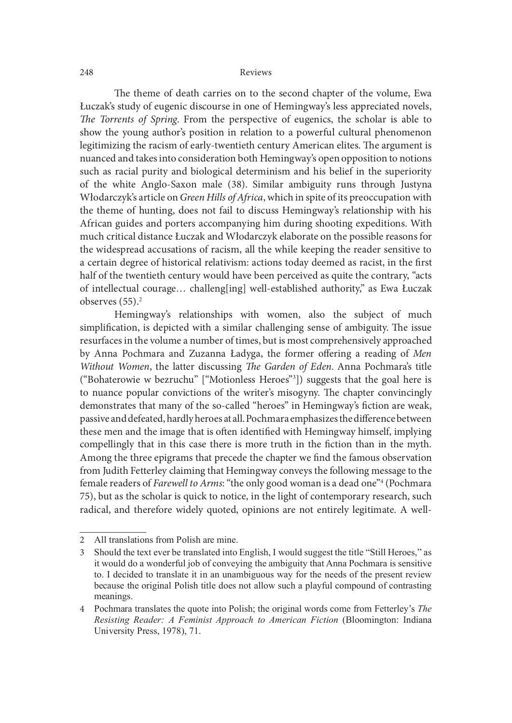The theme of death carries on to the second chapter of the volume, Ewa Łuczak's study of eugenic discourse in one of Hemingway's less appreciated novels, The Torrents of Spring. From the perspective of eugenics, the scholar is able to show the young author's position in relation to a powerful cultural phenomenon legitimizing the racism of early-twentieth century American elites. The argument is nuanced and takes into consideration both Hemingway's open opposition to notions such as racial purity and biological determinism and his belief in the superiority of the white Anglo-Saxon male (38). Similar ambiguity runs through Justyna Włodarczyk's article on Green Hills of Africa, which in spite of its preoccupation with the theme of hunting, does not fail to discuss Hemingway's relationship with his African guides and porters accompanying him during shooting expeditions. With much critical distance Łuczak and Włodarczyk elaborate on the possible reasons for the widespread accusations of racism, all the while keeping the reader sensitive to a certain degree of historical relativism: actions today deemed as racist, in the first half of the twentieth century would have been perceived as quite the contrary, "acts of intellectual courage… challeng[ing] well-established authority," as Ewa Łuczak observes (55).<sup>2</sup>

 Hemingway's relationships with women, also the subject of much simplification, is depicted with a similar challenging sense of ambiguity. The issue resurfaces in the volume a number of times, but is most comprehensively approached by Anna Pochmara and Zuzanna Ładyga, the former offering a reading of Men Without Women, the latter discussing The Garden of Eden. Anna Pochmara's title ("Bohaterowie w bezruchu" ["Motionless Heroes"3 ]) suggests that the goal here is to nuance popular convictions of the writer's misogyny. The chapter convincingly demonstrates that many of the so-called "heroes" in Hemingway's fiction are weak, passive and defeated, hardly heroes at all. Pochmara emphasizes the difference between these men and the image that is often identified with Hemingway himself, implying compellingly that in this case there is more truth in the fiction than in the myth. Among the three epigrams that precede the chapter we find the famous observation from Judith Fetterley claiming that Hemingway conveys the following message to the female readers of Farewell to Arms: "the only good woman is a dead one"4 (Pochmara 75), but as the scholar is quick to notice, in the light of contemporary research, such radical, and therefore widely quoted, opinions are not entirely legitimate. A wellionsizets transity or its so-c-ained metods in referming way school are weak, the solar state men and the image that is often identified with Hemingway himself, implying seem and the image that is often identified with Hem

<sup>2</sup> All translations from Polish are mine.

<sup>3</sup> Should the text ever be translated into English, I would suggest the title "Still Heroes," as it would do a wonderful job of conveying the ambiguity that Anna Pochmara is sensitive to. I decided to translate it in an unambiguous way for the needs of the present review because the original Polish title does not allow such a playful compound of contrasting meanings.

<sup>4</sup> Pochmara translates the quote into Polish; the original words come from Fetterley's The University Press, 1978), 71.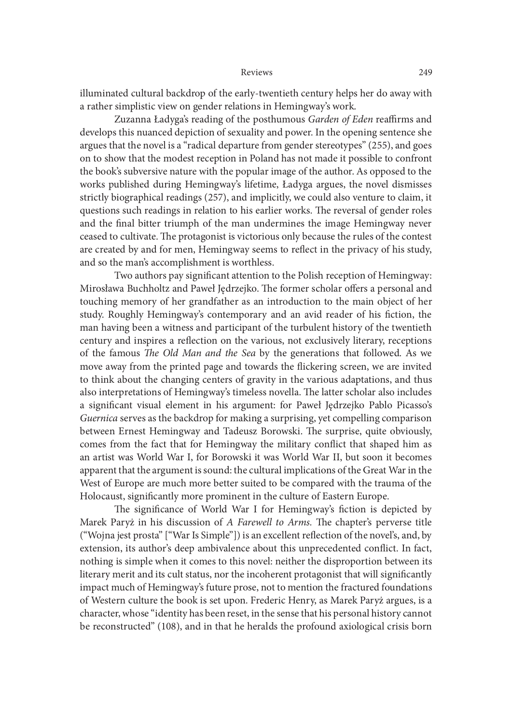illuminated cultural backdrop of the early-twentieth century helps her do away with a rather simplistic view on gender relations in Hemingway's work.

Zuzanna Ładyga's reading of the posthumous Garden of Eden reaffirms and develops this nuanced depiction of sexuality and power. In the opening sentence she argues that the novel is a "radical departure from gender stereotypes" (255), and goes on to show that the modest reception in Poland has not made it possible to confront the book's subversive nature with the popular image of the author. As opposed to the works published during Hemingway's lifetime, Ładyga argues, the novel dismisses strictly biographical readings (257), and implicitly, we could also venture to claim, it questions such readings in relation to his earlier works. The reversal of gender roles and the final bitter triumph of the man undermines the image Hemingway never ceased to cultivate. The protagonist is victorious only because the rules of the contest are created by and for men, Hemingway seems to reflect in the privacy of his study, and so the man's accomplishment is worthless.

Two authors pay significant attention to the Polish reception of Hemingway: Mirosława Buchholtz and Paweł Jędrzejko. The former scholar offers a personal and touching memory of her grandfather as an introduction to the main object of her study. Roughly Hemingway's contemporary and an avid reader of his fiction, the man having been a witness and participant of the turbulent history of the twentieth century and inspires a re{ection on the various, not exclusively literary, receptions of the famous The Old Man and the Sea by the generations that followed. As we move away from the printed page and towards the {ickering screen, we are invited to think about the changing centers of gravity in the various adaptations, and thus also interpretations of Hemingway's timeless novella. The latter scholar also includes a significant visual element in his argument: for Paweł Jędrzejko Pablo Picasso's Guernica serves as the backdrop for making a surprising, yet compelling comparison between Ernest Hemingway and Tadeusz Borowski. The surprise, quite obviously, comes from the fact that for Hemingway the military conflict that shaped him as an artist was World War I, for Borowski it was World War II, but soon it becomes apparent that the argument is sound: the cultural implications of the Great War in the West of Europe are much more better suited to be compared with the trauma of the Holocaust, significantly more prominent in the culture of Eastern Europe.

The significance of World War I for Hemingway's fiction is depicted by Marek Paryż in his discussion of A Farewell to Arms. The chapter's perverse title ("Wojna jest prosta" ["War Is Simple"]) is an excellent re{ection of the novel's, and, by extension, its author's deep ambivalence about this unprecedented conflict. In fact, nothing is simple when it comes to this novel: neither the disproportion between its literary merit and its cult status, nor the incoherent protagonist that will significantly impact much of Hemingway's future prose, not to mention the fractured foundations of Western culture the book is set upon. Frederic Henry, as Marek Paryż argues, is a character, whose "identity has been reset, in the sense that his personal history cannot be reconstructed" (108), and in that he heralds the profound axiological crisis born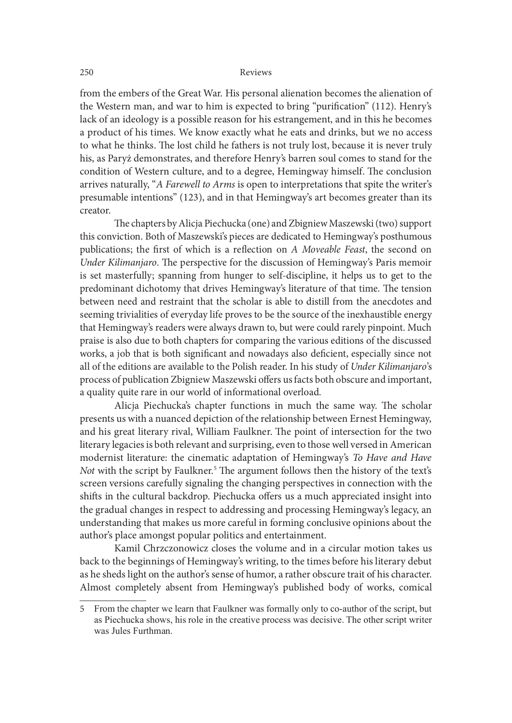from the embers of the Great War. His personal alienation becomes the alienation of the Western man, and war to him is expected to bring "purification" (112). Henry's lack of an ideology is a possible reason for his estrangement, and in this he becomes a product of his times. We know exactly what he eats and drinks, but we no access to what he thinks. The lost child he fathers is not truly lost, because it is never truly his, as Paryż demonstrates, and therefore Henry's barren soul comes to stand for the condition of Western culture, and to a degree, Hemingway himself. The conclusion arrives naturally, "A Farewell to Arms is open to interpretations that spite the writer's presumable intentions" (123), and in that Hemingway's art becomes greater than its creator.

The chapters by Alicja Piechucka (one) and Zbigniew Maszewski (two) support this conviction. Both of Maszewski's pieces are dedicated to Hemingway's posthumous publications; the first of which is a reflection on A Moveable Feast, the second on Under Kilimanjaro. The perspective for the discussion of Hemingway's Paris memoir is set masterfully; spanning from hunger to self-discipline, it helps us to get to the predominant dichotomy that drives Hemingway's literature of that time. The tension between need and restraint that the scholar is able to distill from the anecdotes and seeming trivialities of everyday life proves to be the source of the inexhaustible energy that Hemingway's readers were always drawn to, but were could rarely pinpoint. Much praise is also due to both chapters for comparing the various editions of the discussed works, a job that is both significant and nowadays also deficient, especially since not all of the editions are available to the Polish reader. In his study of Under Kilimanjaro's process of publication Zbigniew Maszewski offers us facts both obscure and important, a quality quite rare in our world of informational overload.

Alicja Piechucka's chapter functions in much the same way. The scholar presents us with a nuanced depiction of the relationship between Ernest Hemingway, and his great literary rival, William Faulkner. The point of intersection for the two literary legacies is both relevant and surprising, even to those well versed in American modernist literature: the cinematic adaptation of Hemingway's To Have and Have Not with the script by Faulkner.<sup>5</sup> The argument follows then the history of the text's screen versions carefully signaling the changing perspectives in connection with the shifts in the cultural backdrop. Piechucka offers us a much appreciated insight into the gradual changes in respect to addressing and processing Hemingway's legacy, an understanding that makes us more careful in forming conclusive opinions about the author's place amongst popular politics and entertainment.

 Kamil Chrzczonowicz closes the volume and in a circular motion takes us back to the beginnings of Hemingway's writing, to the times before his literary debut as he sheds light on the author's sense of humor, a rather obscure trait of his character. Almost completely absent from Hemingway's published body of works, comical

<sup>5</sup> From the chapter we learn that Faulkner was formally only to co-author of the script, but as Piechucka shows, his role in the creative process was decisive. The other script writer was Jules Furthman.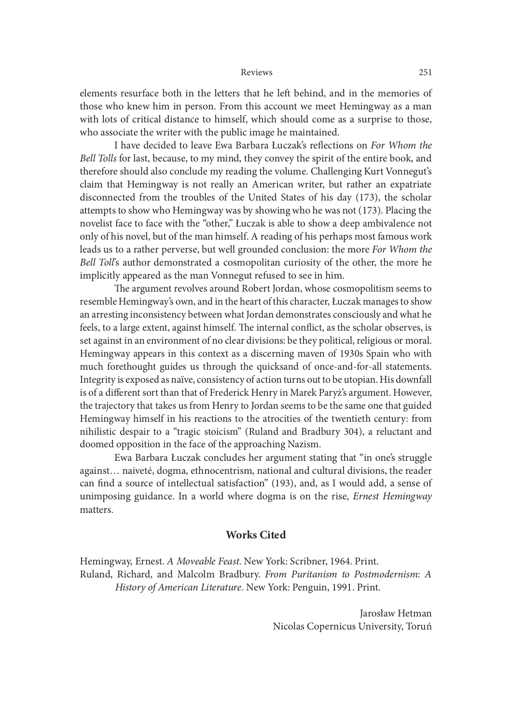elements resurface both in the letters that he let behind, and in the memories of those who knew him in person. From this account we meet Hemingway as a man with lots of critical distance to himself, which should come as a surprise to those, who associate the writer with the public image he maintained.

I have decided to leave Ewa Barbara Łuczak's reflections on For Whom the Bell Tolls for last, because, to my mind, they convey the spirit of the entire book, and therefore should also conclude my reading the volume. Challenging Kurt Vonnegut's claim that Hemingway is not really an American writer, but rather an expatriate disconnected from the troubles of the United States of his day (173), the scholar attempts to show who Hemingway was by showing who he was not (173). Placing the novelist face to face with the "other," Łuczak is able to show a deep ambivalence not only of his novel, but of the man himself. A reading of his perhaps most famous work leads us to a rather perverse, but well grounded conclusion: the more For Whom the Bell Toll's author demonstrated a cosmopolitan curiosity of the other, the more he implicitly appeared as the man Vonnegut refused to see in him.

The argument revolves around Robert Jordan, whose cosmopolitism seems to resemble Hemingway's own, and in the heart of this character, Łuczak manages to show an arresting inconsistency between what Jordan demonstrates consciously and what he feels, to a large extent, against himself. The internal conflict, as the scholar observes, is set against in an environment of no clear divisions: be they political, religious or moral. Hemingway appears in this context as a discerning maven of 1930s Spain who with much forethought guides us through the quicksand of once-and-for-all statements. Integrity is exposed as naïve, consistency of action turns out to be utopian. His downfall is of a different sort than that of Frederick Henry in Marek Paryż's argument. However, the trajectory that takes us from Henry to Jordan seems to be the same one that guided Hemingway himself in his reactions to the atrocities of the twentieth century: from nihilistic despair to a "tragic stoicism" (Ruland and Bradbury 304), a reluctant and doomed opposition in the face of the approaching Nazism.

 Ewa Barbara Łuczak concludes her argument stating that "in one's struggle against… naiveté, dogma, ethnocentrism, national and cultural divisions, the reader can find a source of intellectual satisfaction" (193), and, as I would add, a sense of unimposing guidance. In a world where dogma is on the rise, Ernest Hemingway matters.

## Works Cited

Hemingway, Ernest. A Moveable Feast. New York: Scribner, 1964. Print. Ruland, Richard, and Malcolm Bradbury. From Puritanism to Postmodernism: A History of American Literature. New York: Penguin, 1991. Print.

> Jarosław Hetman Nicolas Copernicus University, Toruń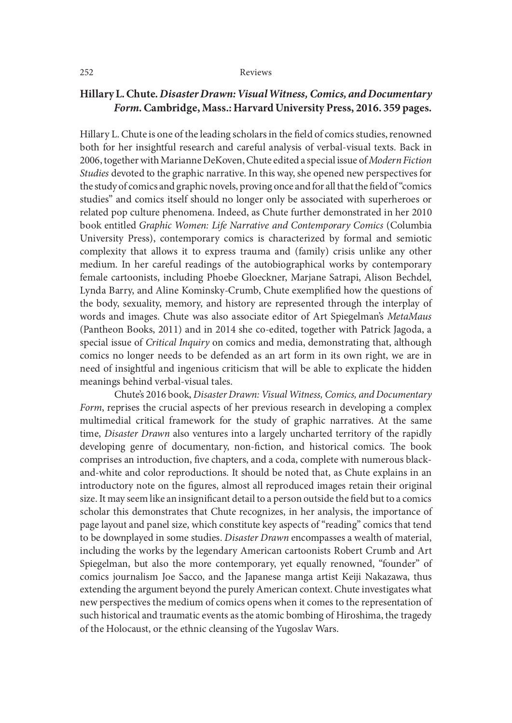# Hillary L. Chute. Disaster Drawn: Visual Witness, Comics, and Documentary Form. Cambridge, Mass.: Harvard University Press, 2016. 359 pages.

Hillary L. Chute is one of the leading scholars in the field of comics studies, renowned both for her insightful research and careful analysis of verbal-visual texts. Back in 2006, together with Marianne DeKoven, Chute edited a special issue of Modern Fiction Studies devoted to the graphic narrative. In this way, she opened new perspectives for the study of comics and graphic novels, proving once and for all that the field of "comics studies" and comics itself should no longer only be associated with superheroes or related pop culture phenomena. Indeed, as Chute further demonstrated in her 2010 book entitled Graphic Women: Life Narrative and Contemporary Comics (Columbia University Press), contemporary comics is characterized by formal and semiotic complexity that allows it to express trauma and (family) crisis unlike any other medium. In her careful readings of the autobiographical works by contemporary female cartoonists, including Phoebe Gloeckner, Marjane Satrapi, Alison Bechdel, Lynda Barry, and Aline Kominsky-Crumb, Chute exemplified how the questions of the body, sexuality, memory, and history are represented through the interplay of words and images. Chute was also associate editor of Art Spiegelman's MetaMaus (Pantheon Books, 2011) and in 2014 she co-edited, together with Patrick Jagoda, a special issue of *Critical Inquiry* on comics and media, demonstrating that, although comics no longer needs to be defended as an art form in its own right, we are in need of insightful and ingenious criticism that will be able to explicate the hidden meanings behind verbal-visual tales.

 Chute's 2016 book, Disaster Drawn: Visual Witness, Comics, and Documentary Form, reprises the crucial aspects of her previous research in developing a complex multimedial critical framework for the study of graphic narratives. At the same time, Disaster Drawn also ventures into a largely uncharted territory of the rapidly developing genre of documentary, non-fiction, and historical comics. The book comprises an introduction, five chapters, and a coda, complete with numerous blackand-white and color reproductions. It should be noted that, as Chute explains in an introductory note on the figures, almost all reproduced images retain their original size. It may seem like an insignificant detail to a person outside the field but to a comics scholar this demonstrates that Chute recognizes, in her analysis, the importance of page layout and panel size, which constitute key aspects of "reading" comics that tend to be downplayed in some studies. Disaster Drawn encompasses a wealth of material, including the works by the legendary American cartoonists Robert Crumb and Art Spiegelman, but also the more contemporary, yet equally renowned, "founder" of comics journalism Joe Sacco, and the Japanese manga artist Keiji Nakazawa, thus extending the argument beyond the purely American context. Chute investigates what new perspectives the medium of comics opens when it comes to the representation of such historical and traumatic events as the atomic bombing of Hiroshima, the tragedy of the Holocaust, or the ethnic cleansing of the Yugoslav Wars.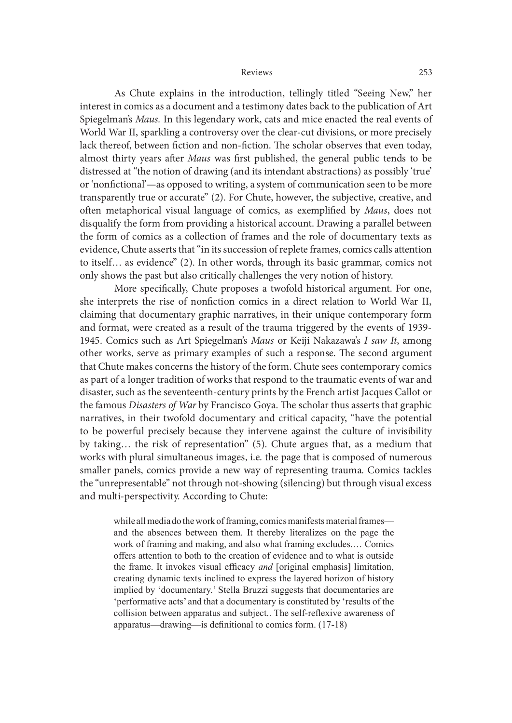As Chute explains in the introduction, tellingly titled "Seeing New," her interest in comics as a document and a testimony dates back to the publication of Art Spiegelman's Maus. In this legendary work, cats and mice enacted the real events of World War II, sparkling a controversy over the clear-cut divisions, or more precisely lack thereof, between fiction and non-fiction. The scholar observes that even today, almost thirty years after Maus was first published, the general public tends to be distressed at "the notion of drawing (and its intendant abstractions) as possibly 'true' or 'nonfictional'—as opposed to writing, a system of communication seen to be more transparently true or accurate" (2). For Chute, however, the subjective, creative, and often metaphorical visual language of comics, as exemplified by Maus, does not disqualify the form from providing a historical account. Drawing a parallel between the form of comics as a collection of frames and the role of documentary texts as evidence, Chute asserts that "in its succession of replete frames, comics calls attention to itself… as evidence" (2). In other words, through its basic grammar, comics not only shows the past but also critically challenges the very notion of history.

More specifically, Chute proposes a twofold historical argument. For one, she interprets the rise of nonfiction comics in a direct relation to World War II, claiming that documentary graphic narratives, in their unique contemporary form and format, were created as a result of the trauma triggered by the events of 1939- 1945. Comics such as Art Spiegelman's Maus or Keiji Nakazawa's I saw It, among other works, serve as primary examples of such a response. The second argument that Chute makes concerns the history of the form. Chute sees contemporary comics as part of a longer tradition of works that respond to the traumatic events of war and disaster, such as the seventeenth-century prints by the French artist Jacques Callot or the famous Disasters of War by Francisco Goya. The scholar thus asserts that graphic narratives, in their twofold documentary and critical capacity, "have the potential to be powerful precisely because they intervene against the culture of invisibility by taking… the risk of representation" (5). Chute argues that, as a medium that works with plural simultaneous images, i.e. the page that is composed of numerous smaller panels, comics provide a new way of representing trauma. Comics tackles the "unrepresentable" not through not-showing (silencing) but through visual excess and multi-perspectivity. According to Chute:

while all mediado the work of framing, comics manifests material frames and the absences between them. It thereby literalizes on the page the work of framing and making, and also what framing excludes.… Comics offers attention to both to the creation of evidence and to what is outside the frame. It invokes visual efficacy and [original emphasis] limitation, creating dynamic texts inclined to express the layered horizon of history implied by 'documentary.' Stella Bruzzi suggests that documentaries are performative acts' and that a documentary is constituted by 'results of the collision between apparatus and subject.. The self-reflexive awareness of apparatus—drawing—is definitional to comics form.  $(17-18)$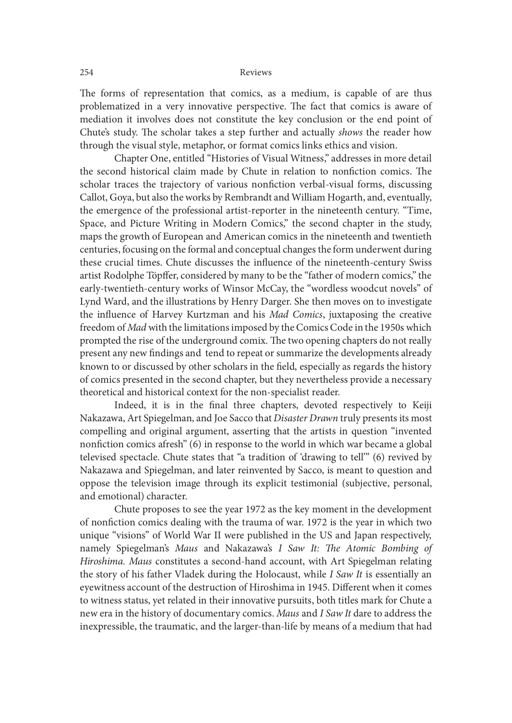The forms of representation that comics, as a medium, is capable of are thus problematized in a very innovative perspective. The fact that comics is aware of mediation it involves does not constitute the key conclusion or the end point of Chute's study. The scholar takes a step further and actually shows the reader how through the visual style, metaphor, or format comics links ethics and vision.

 Chapter One, entitled "Histories of Visual Witness," addresses in more detail the second historical claim made by Chute in relation to nonfiction comics. The scholar traces the trajectory of various nonfiction verbal-visual forms, discussing Callot, Goya, but also the works by Rembrandt and William Hogarth, and, eventually, the emergence of the professional artist-reporter in the nineteenth century. "Time, Space, and Picture Writing in Modern Comics," the second chapter in the study, maps the growth of European and American comics in the nineteenth and twentieth centuries, focusing on the formal and conceptual changes the form underwent during these crucial times. Chute discusses the in{uence of the nineteenth-century Swiss artist Rodolphe Töpffer, considered by many to be the "father of modern comics," the early-twentieth-century works of Winsor McCay, the "wordless woodcut novels" of Lynd Ward, and the illustrations by Henry Darger. She then moves on to investigate the in{uence of Harvey Kurtzman and his Mad Comics, juxtaposing the creative freedom of Mad with the limitations imposed by the Comics Code in the 1950s which prompted the rise of the underground comix. The two opening chapters do not really present any new findings and tend to repeat or summarize the developments already known to or discussed by other scholars in the field, especially as regards the history of comics presented in the second chapter, but they nevertheless provide a necessary theoretical and historical context for the non-specialist reader.

Indeed, it is in the final three chapters, devoted respectively to Keiji Nakazawa, Art Spiegelman, and Joe Sacco that Disaster Drawn truly presents its most compelling and original argument, asserting that the artists in question "invented nonfiction comics afresh" (6) in response to the world in which war became a global televised spectacle. Chute states that "a tradition of 'drawing to tell'" (6) revived by Nakazawa and Spiegelman, and later reinvented by Sacco, is meant to question and oppose the television image through its explicit testimonial (subjective, personal, and emotional) character.

 Chute proposes to see the year 1972 as the key moment in the development of nonfiction comics dealing with the trauma of war. 1972 is the year in which two unique "visions" of World War II were published in the US and Japan respectively, namely Spiegelman's Maus and Nakazawa's I Saw It: The Atomic Bombing of Hiroshima. Maus constitutes a second-hand account, with Art Spiegelman relating the story of his father Vladek during the Holocaust, while I Saw It is essentially an eyewitness account of the destruction of Hiroshima in 1945. Different when it comes to witness status, yet related in their innovative pursuits, both titles mark for Chute a new era in the history of documentary comics. Maus and I Saw It dare to address the inexpressible, the traumatic, and the larger-than-life by means of a medium that had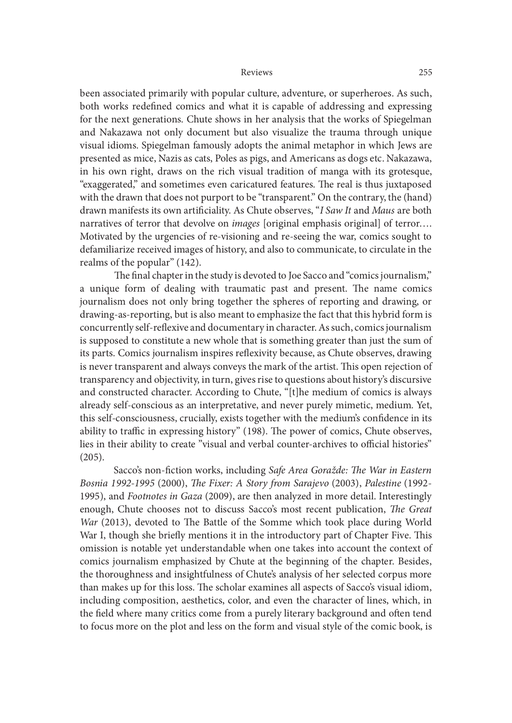been associated primarily with popular culture, adventure, or superheroes. As such, both works redefined comics and what it is capable of addressing and expressing for the next generations. Chute shows in her analysis that the works of Spiegelman and Nakazawa not only document but also visualize the trauma through unique visual idioms. Spiegelman famously adopts the animal metaphor in which Jews are presented as mice, Nazis as cats, Poles as pigs, and Americans as dogs etc. Nakazawa, in his own right, draws on the rich visual tradition of manga with its grotesque, "exaggerated," and sometimes even caricatured features. The real is thus juxtaposed with the drawn that does not purport to be "transparent." On the contrary, the (hand) drawn manifests its own artificiality. As Chute observes, "I Saw It and Maus are both narratives of terror that devolve on *images* [original emphasis original] of terror.... Motivated by the urgencies of re-visioning and re-seeing the war, comics sought to defamiliarize received images of history, and also to communicate, to circulate in the realms of the popular" (142).

The final chapter in the study is devoted to Joe Sacco and "comics journalism," a unique form of dealing with traumatic past and present. The name comics journalism does not only bring together the spheres of reporting and drawing, or drawing-as-reporting, but is also meant to emphasize the fact that this hybrid form is concurrently self-reflexive and documentary in character. As such, comics journalism is supposed to constitute a new whole that is something greater than just the sum of its parts. Comics journalism inspires reflexivity because, as Chute observes, drawing is never transparent and always conveys the mark of the artist. This open rejection of transparency and objectivity, in turn, gives rise to questions about history's discursive and constructed character. According to Chute, "[t]he medium of comics is always already self-conscious as an interpretative, and never purely mimetic, medium. Yet, this self-consciousness, crucially, exists together with the medium's confidence in its ability to traffic in expressing history" (198). The power of comics, Chute observes, lies in their ability to create "visual and verbal counter-archives to official histories" (205).

Sacco's non-fiction works, including Safe Area Goražde: The War in Eastern Bosnia 1992-1995 (2000), The Fixer: A Story from Sarajevo (2003), Palestine (1992-1995), and Footnotes in Gaza (2009), are then analyzed in more detail. Interestingly enough, Chute chooses not to discuss Sacco's most recent publication, The Great War (2013), devoted to The Battle of the Somme which took place during World War I, though she briefly mentions it in the introductory part of Chapter Five. This omission is notable yet understandable when one takes into account the context of comics journalism emphasized by Chute at the beginning of the chapter. Besides, the thoroughness and insightfulness of Chute's analysis of her selected corpus more than makes up for this loss. The scholar examines all aspects of Sacco's visual idiom, including composition, aesthetics, color, and even the character of lines, which, in the field where many critics come from a purely literary background and often tend to focus more on the plot and less on the form and visual style of the comic book, is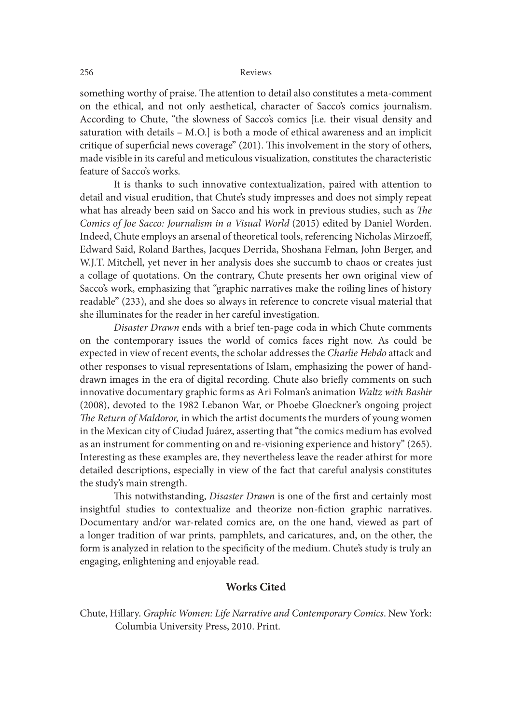something worthy of praise. The attention to detail also constitutes a meta-comment on the ethical, and not only aesthetical, character of Sacco's comics journalism. According to Chute, "the slowness of Sacco's comics [i.e. their visual density and saturation with details – M.O.] is both a mode of ethical awareness and an implicit critique of superficial news coverage"  $(201)$ . This involvement in the story of others, made visible in its careful and meticulous visualization, constitutes the characteristic feature of Sacco's works.

It is thanks to such innovative contextualization, paired with attention to detail and visual erudition, that Chute's study impresses and does not simply repeat what has already been said on Sacco and his work in previous studies, such as The Comics of Joe Sacco: Journalism in a Visual World (2015) edited by Daniel Worden. Indeed, Chute employs an arsenal of theoretical tools, referencing Nicholas Mirzoeff, Edward Said, Roland Barthes, Jacques Derrida, Shoshana Felman, John Berger, and W.J.T. Mitchell, yet never in her analysis does she succumb to chaos or creates just a collage of quotations. On the contrary, Chute presents her own original view of Sacco's work, emphasizing that "graphic narratives make the roiling lines of history readable" (233), and she does so always in reference to concrete visual material that she illuminates for the reader in her careful investigation.

Disaster Drawn ends with a brief ten-page coda in which Chute comments on the contemporary issues the world of comics faces right now. As could be expected in view of recent events, the scholar addresses the Charlie Hebdo attack and other responses to visual representations of Islam, emphasizing the power of handdrawn images in the era of digital recording. Chute also briefly comments on such innovative documentary graphic forms as Ari Folman's animation Waltz with Bashir (2008), devoted to the 1982 Lebanon War, or Phoebe Gloeckner's ongoing project The Return of Maldoror, in which the artist documents the murders of young women in the Mexican city of Ciudad Juárez, asserting that "the comics medium has evolved as an instrument for commenting on and re-visioning experience and history" (265). Interesting as these examples are, they nevertheless leave the reader athirst for more detailed descriptions, especially in view of the fact that careful analysis constitutes the study's main strength.

This notwithstanding, Disaster Drawn is one of the first and certainly most insightful studies to contextualize and theorize non-fiction graphic narratives. Documentary and/or war-related comics are, on the one hand, viewed as part of a longer tradition of war prints, pamphlets, and caricatures, and, on the other, the form is analyzed in relation to the specificity of the medium. Chute's study is truly an engaging, enlightening and enjoyable read.

## Works Cited

Chute, Hillary. Graphic Women: Life Narrative and Contemporary Comics. New York: Columbia University Press, 2010. Print.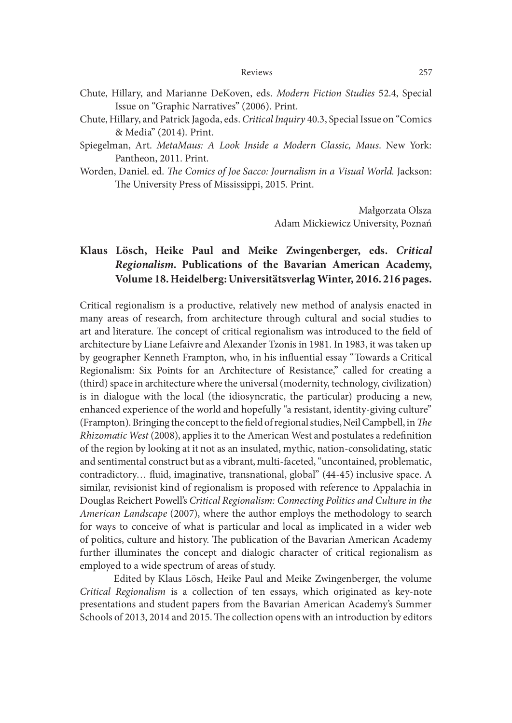- Chute, Hillary, and Marianne DeKoven, eds. Modern Fiction Studies 52.4, Special Issue on "Graphic Narratives" (2006). Print.
- Chute, Hillary, and Patrick Jagoda, eds. Critical Inquiry 40.3, Special Issue on "Comics & Media" (2014). Print.
- Spiegelman, Art. MetaMaus: A Look Inside a Modern Classic, Maus. New York: Pantheon, 2011. Print.
- Worden, Daniel. ed. The Comics of Joe Sacco: Journalism in a Visual World. Jackson: The University Press of Mississippi, 2015. Print.

Małgorzata Olsza Adam Mickiewicz University, Poznań

# Klaus Lösch, Heike Paul and Meike Zwingenberger, eds. Critical Regionalism. Publications of the Bavarian American Academy, Volume 18. Heidelberg: Universitätsverlag Winter, 2016. 216 pages.

Critical regionalism is a productive, relatively new method of analysis enacted in many areas of research, from architecture through cultural and social studies to art and literature. The concept of critical regionalism was introduced to the field of architecture by Liane Lefaivre and Alexander Tzonis in 1981. In 1983, it was taken up by geographer Kenneth Frampton, who, in his in{uential essay "Towards a Critical Regionalism: Six Points for an Architecture of Resistance," called for creating a (third) space in architecture where the universal (modernity, technology, civilization) is in dialogue with the local (the idiosyncratic, the particular) producing a new, enhanced experience of the world and hopefully "a resistant, identity-giving culture" (Frampton). Bringing the concept to the field of regional studies, Neil Campbell, in The Rhizomatic West (2008), applies it to the American West and postulates a redefinition of the region by looking at it not as an insulated, mythic, nation-consolidating, static and sentimental construct but as a vibrant, multi-faceted, "uncontained, problematic, contradictory... fluid, imaginative, transnational, global" (44-45) inclusive space. A similar, revisionist kind of regionalism is proposed with reference to Appalachia in Douglas Reichert Powell's Critical Regionalism: Connecting Politics and Culture in the American Landscape (2007), where the author employs the methodology to search for ways to conceive of what is particular and local as implicated in a wider web of politics, culture and history. The publication of the Bavarian American Academy further illuminates the concept and dialogic character of critical regionalism as employed to a wide spectrum of areas of study.

Edited by Klaus Lösch, Heike Paul and Meike Zwingenberger, the volume Critical Regionalism is a collection of ten essays, which originated as key-note presentations and student papers from the Bavarian American Academy's Summer Schools of 2013, 2014 and 2015. The collection opens with an introduction by editors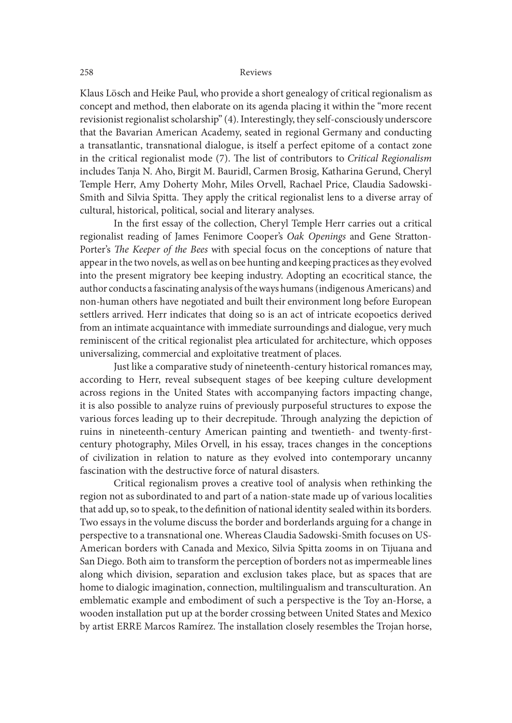Klaus Lösch and Heike Paul, who provide a short genealogy of critical regionalism as concept and method, then elaborate on its agenda placing it within the "more recent revisionist regionalist scholarship" (4). Interestingly, they self-consciously underscore that the Bavarian American Academy, seated in regional Germany and conducting a transatlantic, transnational dialogue, is itself a perfect epitome of a contact zone in the critical regionalist mode  $(7)$ . The list of contributors to Critical Regionalism includes Tanja N. Aho, Birgit M. Bauridl, Carmen Brosig, Katharina Gerund, Cheryl Temple Herr, Amy Doherty Mohr, Miles Orvell, Rachael Price, Claudia Sadowski-Smith and Silvia Spitta. They apply the critical regionalist lens to a diverse array of cultural, historical, political, social and literary analyses.

In the first essay of the collection, Cheryl Temple Herr carries out a critical regionalist reading of James Fenimore Cooper's Oak Openings and Gene Stratton-Porter's The Keeper of the Bees with special focus on the conceptions of nature that appear in the two novels, as well as on bee hunting and keeping practices as they evolved into the present migratory bee keeping industry. Adopting an ecocritical stance, the author conducts a fascinating analysis of the ways humans (indigenous Americans) and non-human others have negotiated and built their environment long before European settlers arrived. Herr indicates that doing so is an act of intricate ecopoetics derived from an intimate acquaintance with immediate surroundings and dialogue, very much reminiscent of the critical regionalist plea articulated for architecture, which opposes universalizing, commercial and exploitative treatment of places.

Just like a comparative study of nineteenth-century historical romances may, according to Herr, reveal subsequent stages of bee keeping culture development across regions in the United States with accompanying factors impacting change, it is also possible to analyze ruins of previously purposeful structures to expose the various forces leading up to their decrepitude. Through analyzing the depiction of ruins in nineteenth-century American painting and twentieth- and twenty-firstcentury photography, Miles Orvell, in his essay, traces changes in the conceptions of civilization in relation to nature as they evolved into contemporary uncanny fascination with the destructive force of natural disasters.

Critical regionalism proves a creative tool of analysis when rethinking the region not as subordinated to and part of a nation-state made up of various localities that add up, so to speak, to the definition of national identity sealed within its borders. Two essays in the volume discuss the border and borderlands arguing for a change in perspective to a transnational one. Whereas Claudia Sadowski-Smith focuses on US-American borders with Canada and Mexico, Silvia Spitta zooms in on Tijuana and San Diego. Both aim to transform the perception of borders not as impermeable lines along which division, separation and exclusion takes place, but as spaces that are home to dialogic imagination, connection, multilingualism and transculturation. An emblematic example and embodiment of such a perspective is the Toy an-Horse, a wooden installation put up at the border crossing between United States and Mexico by artist ERRE Marcos Ramírez. The installation closely resembles the Trojan horse,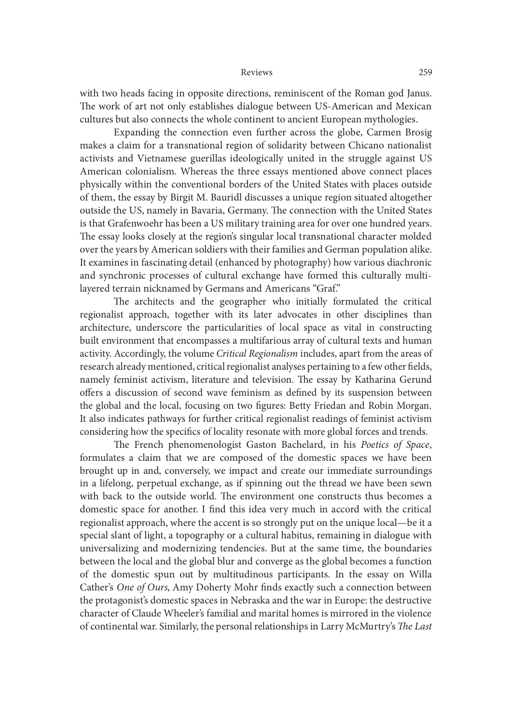with two heads facing in opposite directions, reminiscent of the Roman god Janus. The work of art not only establishes dialogue between US-American and Mexican cultures but also connects the whole continent to ancient European mythologies.

Expanding the connection even further across the globe, Carmen Brosig makes a claim for a transnational region of solidarity between Chicano nationalist activists and Vietnamese guerillas ideologically united in the struggle against US American colonialism. Whereas the three essays mentioned above connect places physically within the conventional borders of the United States with places outside of them, the essay by Birgit M. Bauridl discusses a unique region situated altogether outside the US, namely in Bavaria, Germany. The connection with the United States is that Grafenwoehr has been a US military training area for over one hundred years. The essay looks closely at the region's singular local transnational character molded over the years by American soldiers with their families and German population alike. It examines in fascinating detail (enhanced by photography) how various diachronic and synchronic processes of cultural exchange have formed this culturally multilayered terrain nicknamed by Germans and Americans "Graf."

The architects and the geographer who initially formulated the critical regionalist approach, together with its later advocates in other disciplines than architecture, underscore the particularities of local space as vital in constructing built environment that encompasses a multifarious array of cultural texts and human activity. Accordingly, the volume Critical Regionalism includes, apart from the areas of research already mentioned, critical regionalist analyses pertaining to a few other fields, namely feminist activism, literature and television. The essay by Katharina Gerund offers a discussion of second wave feminism as defined by its suspension between the global and the local, focusing on two figures: Betty Friedan and Robin Morgan. It also indicates pathways for further critical regionalist readings of feminist activism considering how the specifics of locality resonate with more global forces and trends.

The French phenomenologist Gaston Bachelard, in his Poetics of Space, formulates a claim that we are composed of the domestic spaces we have been brought up in and, conversely, we impact and create our immediate surroundings in a lifelong, perpetual exchange, as if spinning out the thread we have been sewn with back to the outside world. The environment one constructs thus becomes a domestic space for another. I find this idea very much in accord with the critical regionalist approach, where the accent is so strongly put on the unique local—be it a special slant of light, a topography or a cultural habitus, remaining in dialogue with universalizing and modernizing tendencies. But at the same time, the boundaries between the local and the global blur and converge as the global becomes a function of the domestic spun out by multitudinous participants. In the essay on Willa Cather's One of Ours, Amy Doherty Mohr finds exactly such a connection between the protagonist's domestic spaces in Nebraska and the war in Europe: the destructive character of Claude Wheeler's familial and marital homes is mirrored in the violence of continental war. Similarly, the personal relationships in Larry McMurtry's The Last